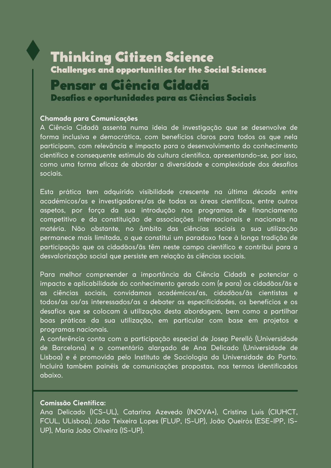# Thinking Citizen Science Challenges and opportunities for the Social Sciences Pensar a Ciência Cidadã Desafios e oportunidades para as Ciências Sociais

#### **Chamada para Comunicações**

A Ciência Cidadã assenta numa ideia de investigação que se desenvolve de forma inclusiva e democrática, com benefícios claros para todos os que nela participam, com relevância e impacto para o desenvolvimento do conhecimento científico e consequente estímulo da cultura científica, apresentando-se, por isso, como uma forma eficaz de abordar a diversidade e complexidade dos desafios sociais.

Esta prática tem adquirido visibilidade crescente na última década entre académicos/as e investigadores/as de todas as áreas científicas, entre outros aspetos, por força da sua introdução nos programas de financiamento competitivo e da constituição de associações internacionais e nacionais na matéria. Não obstante, no âmbito das ciências sociais a sua utilização permanece mais limitada, o que constitui um paradoxo face à longa tradição de participação que os cidadãos/ãs têm neste campo científico e contribui para a desvalorização social que persiste em relação às ciências sociais.

Para melhor compreender a importância da Ciência Cidadã e potenciar o impacto e aplicabilidade do conhecimento gerado com (e para) os cidadãos/ãs e as ciências sociais, convidamos académicos/as, cidadãos/ãs cientistas e todos/as os/as interessados/as a debater as especificidades, os benefícios e os desafios que se colocam à utilização desta abordagem, bem como a partilhar boas práticas da sua utilização, em particular com base em projetos e programas nacionais.

A conferência conta com a participação especial de Josep Perelló (Universidade de Barcelona) e o comentário alargado de Ana Delicado (Universidade de Lisboa) e é promovida pelo Instituto de Sociologia da Universidade do Porto. Incluirá também painéis de comunicações propostas, nos termos identificados abaixo.

#### **Comissão Científica:**

Ana Delicado (ICS-UL), Catarina Azevedo (INOVA+), Cristina Luís (CIUHCT, FCUL, ULisboa), João Teixeira Lopes (FLUP, IS-UP), João Queirós (ESE-IPP, IS-UP), Maria João Oliveira (IS-UP).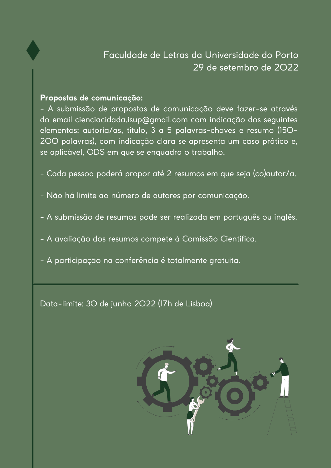

## **Propostas de comunicação:**

- A submissão de propostas de comunicação deve fazer-se através do email [cienciacidada.isup@gmail.com](mailto:cienciacidada.isup@gmail.com) com indicação dos seguintes elementos: autoria/as, título, 3 a 5 palavras-chaves e resumo (150- 200 palavras), com indicação clara se apresenta um caso prático e, se aplicável, ODS em que se enquadra o trabalho.

- Cada pessoa poderá propor até 2 resumos em que seja (co)autor/a.
- Não há limite ao número de autores por comunicação.
- A submissão de resumos pode ser realizada em português ou inglês.
- A avaliação dos resumos compete à Comissão Científica.
- A participação na conferência é totalmente gratuita.

Data-limite: 30 de junho 2022 (17h de Lisboa)

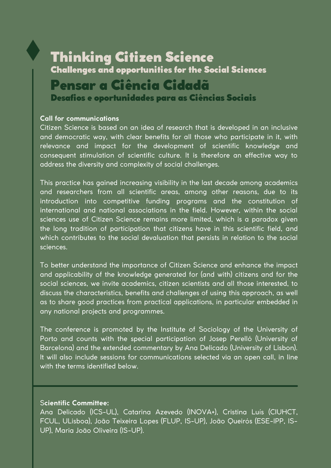# Thinking Citizen Science Challenges and opportunities for the Social Sciences Pensar a Ciência Cidadã Desafios e oportunidades para as Ciências Sociais

### **Call for communications**

Citizen Science is based on an idea of research that is developed in an inclusive and democratic way, with clear benefits for all those who participate in it, with relevance and impact for the development of scientific knowledge and consequent stimulation of scientific culture. It is therefore an effective way to address the diversity and complexity of social challenges.

This practice has gained increasing visibility in the last decade among academics and researchers from all scientific areas, among other reasons, due to its introduction into competitive funding programs and the constitution of international and national associations in the field. However, within the social sciences use of Citizen Science remains more limited, which is a paradox given the long tradition of participation that citizens have in this scientific field, and which contributes to the social devaluation that persists in relation to the social sciences.

To better understand the importance of Citizen Science and enhance the impact and applicability of the knowledge generated for (and with) citizens and for the social sciences, we invite academics, citizen scientists and all those interested, to discuss the characteristics, benefits and challenges of using this approach, as well as to share good practices from practical applications, in particular embedded in any national projects and programmes.

The conference is promoted by the Institute of Sociology of the University of Porto and counts with the special participation of Josep Perelló (University of Barcelona) and the extended commentary by Ana Delicado (University of Lisbon). It will also include sessions for communications selected via an open call, in line with the terms identified below.

### S**cientific Committee:**

Ana Delicado (ICS-UL), Catarina Azevedo (INOVA+), Cristina Luís (CIUHCT, FCUL, ULisboa), João Teixeira Lopes (FLUP, IS-UP), João Queirós (ESE-IPP, IS-UP), Maria João Oliveira (IS-UP).